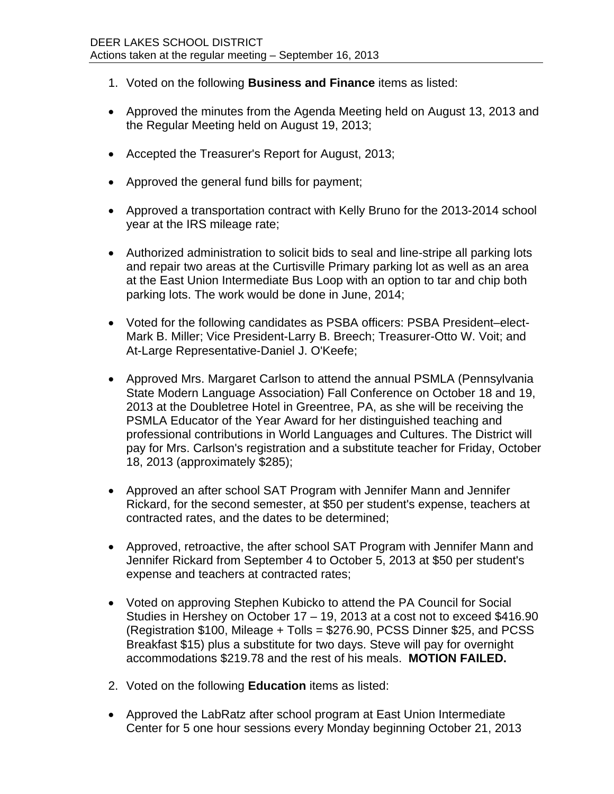- 1. Voted on the following **Business and Finance** items as listed:
- Approved the minutes from the Agenda Meeting held on August 13, 2013 and the Regular Meeting held on August 19, 2013;
- Accepted the Treasurer's Report for August, 2013;
- Approved the general fund bills for payment;
- Approved a transportation contract with Kelly Bruno for the 2013-2014 school year at the IRS mileage rate;
- Authorized administration to solicit bids to seal and line-stripe all parking lots and repair two areas at the Curtisville Primary parking lot as well as an area at the East Union Intermediate Bus Loop with an option to tar and chip both parking lots. The work would be done in June, 2014;
- Voted for the following candidates as PSBA officers: PSBA President–elect-Mark B. Miller; Vice President-Larry B. Breech; Treasurer-Otto W. Voit; and At-Large Representative-Daniel J. O'Keefe;
- Approved Mrs. Margaret Carlson to attend the annual PSMLA (Pennsylvania State Modern Language Association) Fall Conference on October 18 and 19, 2013 at the Doubletree Hotel in Greentree, PA, as she will be receiving the PSMLA Educator of the Year Award for her distinguished teaching and professional contributions in World Languages and Cultures. The District will pay for Mrs. Carlson's registration and a substitute teacher for Friday, October 18, 2013 (approximately \$285);
- Approved an after school SAT Program with Jennifer Mann and Jennifer Rickard, for the second semester, at \$50 per student's expense, teachers at contracted rates, and the dates to be determined;
- Approved, retroactive, the after school SAT Program with Jennifer Mann and Jennifer Rickard from September 4 to October 5, 2013 at \$50 per student's expense and teachers at contracted rates;
- Voted on approving Stephen Kubicko to attend the PA Council for Social Studies in Hershey on October 17 – 19, 2013 at a cost not to exceed \$416.90 (Registration \$100, Mileage + Tolls = \$276.90, PCSS Dinner \$25, and PCSS Breakfast \$15) plus a substitute for two days. Steve will pay for overnight accommodations \$219.78 and the rest of his meals. **MOTION FAILED.**
- 2. Voted on the following **Education** items as listed:
- Approved the LabRatz after school program at East Union Intermediate Center for 5 one hour sessions every Monday beginning October 21, 2013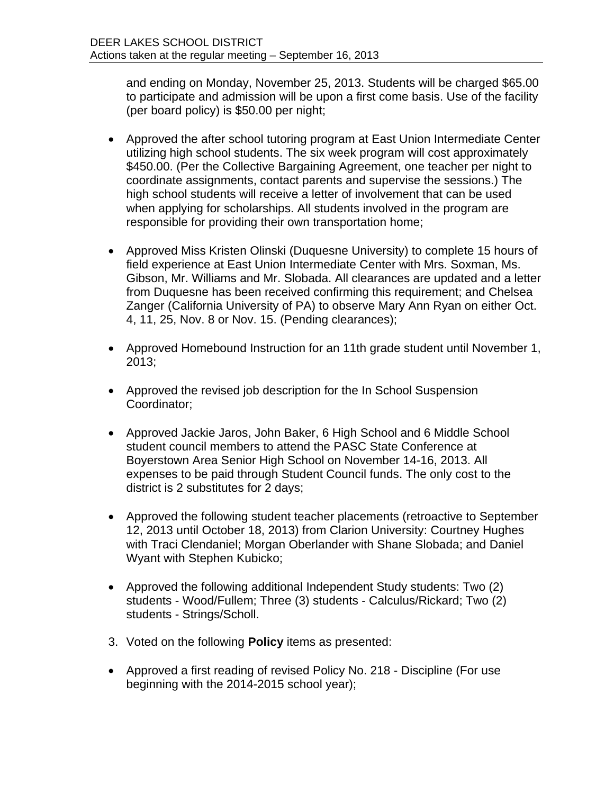and ending on Monday, November 25, 2013. Students will be charged \$65.00 to participate and admission will be upon a first come basis. Use of the facility (per board policy) is \$50.00 per night;

- Approved the after school tutoring program at East Union Intermediate Center utilizing high school students. The six week program will cost approximately \$450.00. (Per the Collective Bargaining Agreement, one teacher per night to coordinate assignments, contact parents and supervise the sessions.) The high school students will receive a letter of involvement that can be used when applying for scholarships. All students involved in the program are responsible for providing their own transportation home;
- Approved Miss Kristen Olinski (Duquesne University) to complete 15 hours of field experience at East Union Intermediate Center with Mrs. Soxman, Ms. Gibson, Mr. Williams and Mr. Slobada. All clearances are updated and a letter from Duquesne has been received confirming this requirement; and Chelsea Zanger (California University of PA) to observe Mary Ann Ryan on either Oct. 4, 11, 25, Nov. 8 or Nov. 15. (Pending clearances);
- Approved Homebound Instruction for an 11th grade student until November 1, 2013;
- Approved the revised job description for the In School Suspension Coordinator;
- Approved Jackie Jaros, John Baker, 6 High School and 6 Middle School student council members to attend the PASC State Conference at Boyerstown Area Senior High School on November 14-16, 2013. All expenses to be paid through Student Council funds. The only cost to the district is 2 substitutes for 2 days;
- Approved the following student teacher placements (retroactive to September 12, 2013 until October 18, 2013) from Clarion University: Courtney Hughes with Traci Clendaniel; Morgan Oberlander with Shane Slobada; and Daniel Wyant with Stephen Kubicko;
- Approved the following additional Independent Study students: Two (2) students - Wood/Fullem; Three (3) students - Calculus/Rickard; Two (2) students - Strings/Scholl.
- 3. Voted on the following **Policy** items as presented:
- Approved a first reading of revised Policy No. 218 Discipline (For use beginning with the 2014-2015 school year);